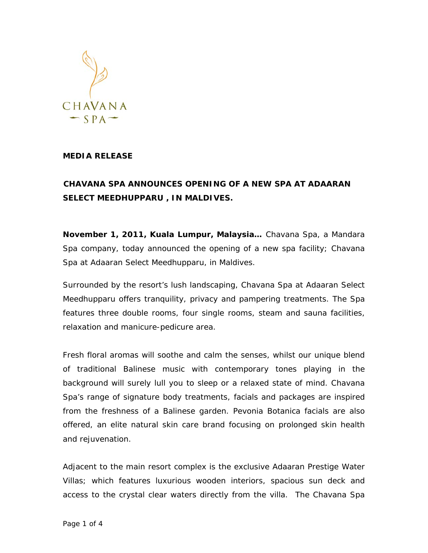

## **MEDIA RELEASE**

## **CHAVANA SPA ANNOUNCES OPENING OF A NEW SPA AT ADAARAN SELECT MEEDHUPPARU , IN MALDIVES.**

**November 1, 2011, Kuala Lumpur, Malaysia…** Chavana Spa, a Mandara Spa company, today announced the opening of a new spa facility; *Chavana Spa* at Adaaran Select Meedhupparu, in Maldives.

Surrounded by the resort's lush landscaping, Chavana Spa at Adaaran Select Meedhupparu offers tranquility, privacy and pampering treatments. The Spa features three double rooms, four single rooms, steam and sauna facilities, relaxation and manicure-pedicure area.

Fresh floral aromas will soothe and calm the senses, whilst our unique blend of traditional Balinese music with contemporary tones playing in the background will surely lull you to sleep or a relaxed state of mind. Chavana Spa's range of signature body treatments, facials and packages are inspired from the freshness of a Balinese garden. Pevonia Botanica facials are also offered, an elite natural skin care brand focusing on prolonged skin health and rejuvenation.

Adjacent to the main resort complex is the exclusive Adaaran Prestige Water Villas; which features luxurious wooden interiors, spacious sun deck and access to the crystal clear waters directly from the villa. The *Chavana Spa*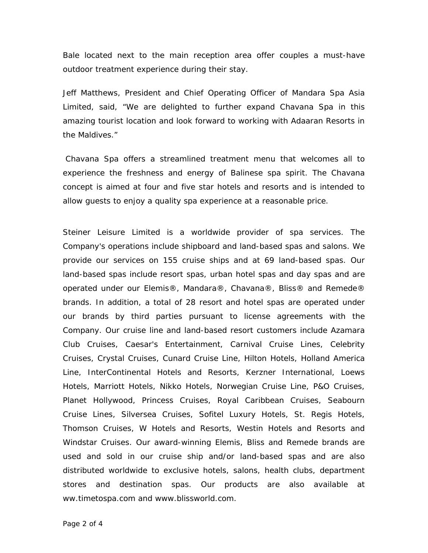*Bale* located next to the main reception area offer couples a must-have outdoor treatment experience during their stay.

Jeff Matthews, President and Chief Operating Officer of Mandara Spa Asia Limited, said, "We are delighted to further expand Chavana Spa in this amazing tourist location and look forward to working with Adaaran Resorts in the Maldives."

 Chavana Spa offers a streamlined treatment menu that welcomes all to experience the freshness and energy of Balinese spa spirit. The Chavana concept is aimed at four and five star hotels and resorts and is intended to allow guests to enjoy a quality spa experience at a reasonable price.

Steiner Leisure Limited is a worldwide provider of spa services. The Company's operations include shipboard and land-based spas and salons. We provide our services on 155 cruise ships and at 69 land-based spas. Our land-based spas include resort spas, urban hotel spas and day spas and are operated under our Elemis®, Mandara®, Chavana®, Bliss® and Remede® brands. In addition, a total of 28 resort and hotel spas are operated under our brands by third parties pursuant to license agreements with the Company. Our cruise line and land-based resort customers include Azamara Club Cruises, Caesar's Entertainment, Carnival Cruise Lines, Celebrity Cruises, Crystal Cruises, Cunard Cruise Line, Hilton Hotels, Holland America Line, InterContinental Hotels and Resorts, Kerzner International, Loews Hotels, Marriott Hotels, Nikko Hotels, Norwegian Cruise Line, P&O Cruises, Planet Hollywood, Princess Cruises, Royal Caribbean Cruises, Seabourn Cruise Lines, Silversea Cruises, Sofitel Luxury Hotels, St. Regis Hotels, Thomson Cruises, W Hotels and Resorts, Westin Hotels and Resorts and Windstar Cruises. Our award-winning Elemis, Bliss and Remede brands are used and sold in our cruise ship and/or land-based spas and are also distributed worldwide to exclusive hotels, salons, health clubs, department stores and destination spas. Our products are also available at ww.timetospa.com and www.blissworld.com.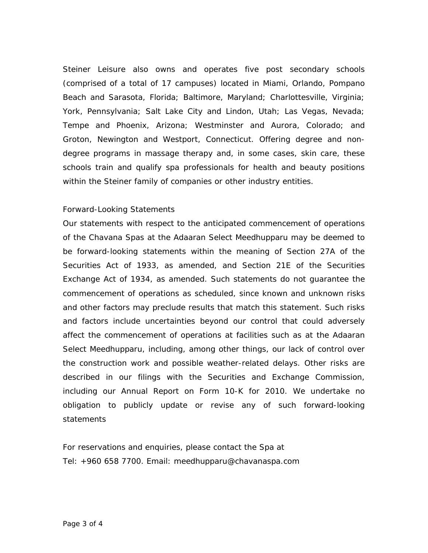Steiner Leisure also owns and operates five post secondary schools (comprised of a total of 17 campuses) located in Miami, Orlando, Pompano Beach and Sarasota, Florida; Baltimore, Maryland; Charlottesville, Virginia; York, Pennsylvania; Salt Lake City and Lindon, Utah; Las Vegas, Nevada; Tempe and Phoenix, Arizona; Westminster and Aurora, Colorado; and Groton, Newington and Westport, Connecticut. Offering degree and nondegree programs in massage therapy and, in some cases, skin care, these schools train and qualify spa professionals for health and beauty positions within the Steiner family of companies or other industry entities.

## Forward-Looking Statements

Our statements with respect to the anticipated commencement of operations of the Chavana Spas at the Adaaran Select Meedhupparu may be deemed to be forward-looking statements within the meaning of Section 27A of the Securities Act of 1933, as amended, and Section 21E of the Securities Exchange Act of 1934, as amended. Such statements do not guarantee the commencement of operations as scheduled, since known and unknown risks and other factors may preclude results that match this statement. Such risks and factors include uncertainties beyond our control that could adversely affect the commencement of operations at facilities such as at the Adaaran Select Meedhupparu, including, among other things, our lack of control over the construction work and possible weather-related delays. Other risks are described in our filings with the Securities and Exchange Commission, including our Annual Report on Form 10-K for 2010. We undertake no obligation to publicly update or revise any of such forward-looking statements

For reservations and enquiries, please contact the Spa at Tel: +960 658 7700. Email: meedhupparu@chavanaspa.com